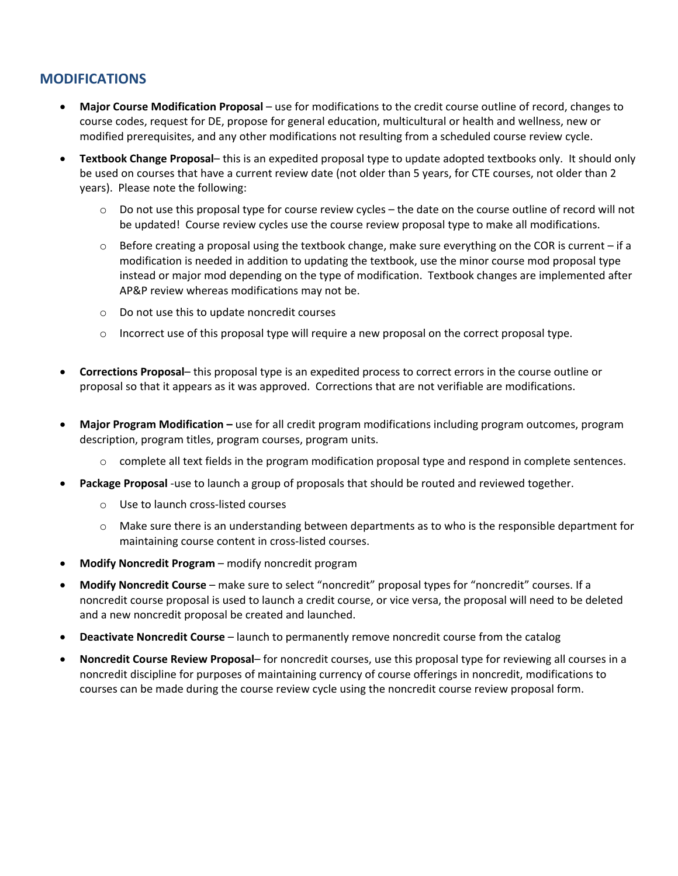## **MODIFICATIONS**

- **Major Course Modification Proposal** use for modifications to the credit course outline of record, changes to course codes, request for DE, propose for general education, multicultural or health and wellness, new or modified prerequisites, and any other modifications not resulting from a scheduled course review cycle.
- **Textbook Change Proposal** this is an expedited proposal type to update adopted textbooks only. It should only be used on courses that have a current review date (not older than 5 years, for CTE courses, not older than 2 years). Please note the following:
	- $\circ$  Do not use this proposal type for course review cycles the date on the course outline of record will not be updated! Course review cycles use the course review proposal type to make all modifications.
	- $\circ$  Before creating a proposal using the textbook change, make sure everything on the COR is current if a modification is needed in addition to updating the textbook, use the minor course mod proposal type instead or major mod depending on the type of modification. Textbook changes are implemented after AP&P review whereas modifications may not be.
	- o Do not use this to update noncredit courses
	- $\circ$  Incorrect use of this proposal type will require a new proposal on the correct proposal type.
- **Corrections Proposal** this proposal type is an expedited process to correct errors in the course outline or proposal so that it appears as it was approved. Corrections that are not verifiable are modifications.
- **Major Program Modification –** use for all credit program modifications including program outcomes, program description, program titles, program courses, program units.
	- $\circ$  complete all text fields in the program modification proposal type and respond in complete sentences.
- **Package Proposal** ‐use to launch a group of proposals that should be routed and reviewed together.
	- o Use to launch cross‐listed courses
	- o Make sure there is an understanding between departments as to who is the responsible department for maintaining course content in cross‐listed courses.
- **Modify Noncredit Program** modify noncredit program
- **Modify Noncredit Course** make sure to select "noncredit" proposal types for "noncredit" courses. If a noncredit course proposal is used to launch a credit course, or vice versa, the proposal will need to be deleted and a new noncredit proposal be created and launched.
- **Deactivate Noncredit Course** launch to permanently remove noncredit course from the catalog
- **Noncredit Course Review Proposal** for noncredit courses, use this proposal type for reviewing all courses in a noncredit discipline for purposes of maintaining currency of course offerings in noncredit, modifications to courses can be made during the course review cycle using the noncredit course review proposal form.